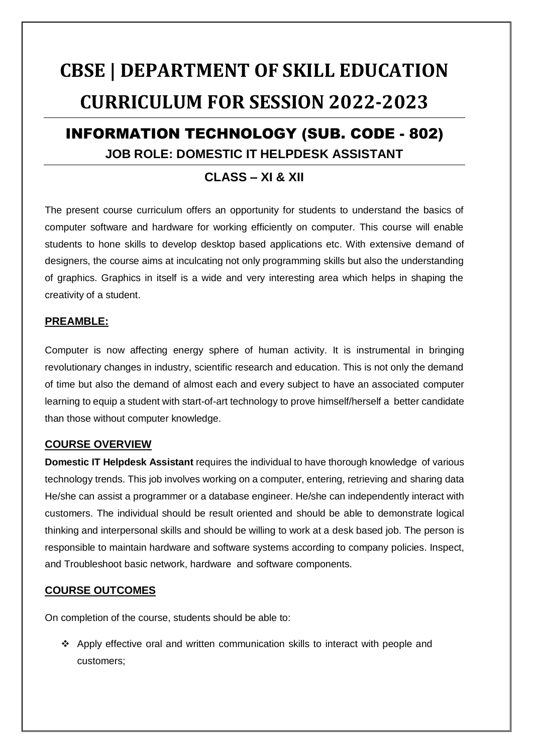# **CBSE | DEPARTMENT OF SKILL EDUCATION CURRICULUM FOR SESSION 2022-2023**

### INFORMATION TECHNOLOGY (SUB. CODE - 802) **JOB ROLE: DOMESTIC IT HELPDESK ASSISTANT**

### **CLASS – XI & XII**

The present course curriculum offers an opportunity for students to understand the basics of computer software and hardware for working efficiently on computer. This course will enable students to hone skills to develop desktop based applications etc. With extensive demand of designers, the course aims at inculcating not only programming skills but also the understanding of graphics. Graphics in itself is a wide and very interesting area which helps in shaping the creativity of a student.

#### **PREAMBLE:**

Computer is now affecting energy sphere of human activity. It is instrumental in bringing revolutionary changes in industry, scientific research and education. This is not only the demand of time but also the demand of almost each and every subject to have an associated computer learning to equip a student with start-of-art technology to prove himself/herself a better candidate than those without computer knowledge.

#### **COURSE OVERVIEW**

**Domestic IT Helpdesk Assistant** requires the individual to have thorough knowledge of various technology trends. This job involves working on a computer, entering, retrieving and sharing data He/she can assist a programmer or a database engineer. He/she can independently interact with customers. The individual should be result oriented and should be able to demonstrate logical thinking and interpersonal skills and should be willing to work at a desk based job. The person is responsible to maintain hardware and software systems according to company policies. Inspect, and Troubleshoot basic network, hardware and software components.

#### **COURSE OUTCOMES**

On completion of the course, students should be able to:

 Apply effective oral and written communication skills to interact with people and customers;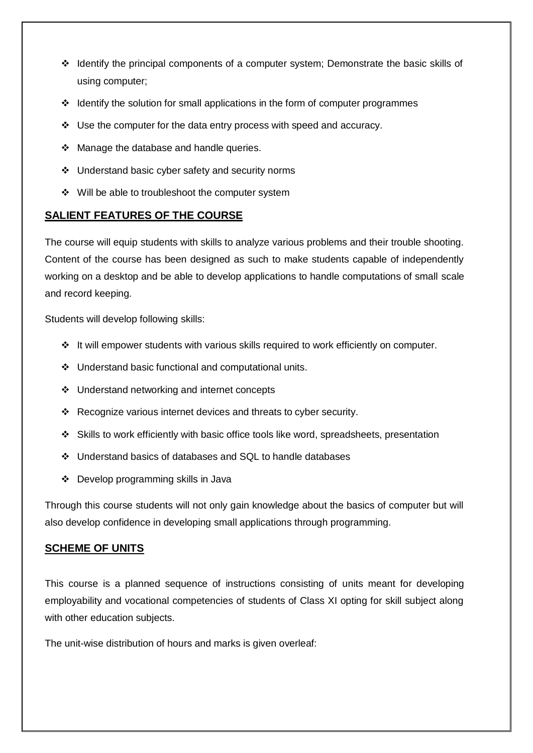- \* Identify the principal components of a computer system; Demonstrate the basic skills of using computer;
- $\div$  Identify the solution for small applications in the form of computer programmes
- Use the computer for the data entry process with speed and accuracy.
- ❖ Manage the database and handle queries.
- Understand basic cyber safety and security norms
- $\div$  Will be able to troubleshoot the computer system

#### **SALIENT FEATURES OF THE COURSE**

The course will equip students with skills to analyze various problems and their trouble shooting. Content of the course has been designed as such to make students capable of independently working on a desktop and be able to develop applications to handle computations of small scale and record keeping.

Students will develop following skills:

- ❖ It will empower students with various skills required to work efficiently on computer.
- Understand basic functional and computational units.
- ❖ Understand networking and internet concepts
- \* Recognize various internet devices and threats to cyber security.
- Skills to work efficiently with basic office tools like word, spreadsheets, presentation
- Understand basics of databases and SQL to handle databases
- Develop programming skills in Java

Through this course students will not only gain knowledge about the basics of computer but will also develop confidence in developing small applications through programming.

#### **SCHEME OF UNITS**

This course is a planned sequence of instructions consisting of units meant for developing employability and vocational competencies of students of Class XI opting for skill subject along with other education subjects.

The unit-wise distribution of hours and marks is given overleaf: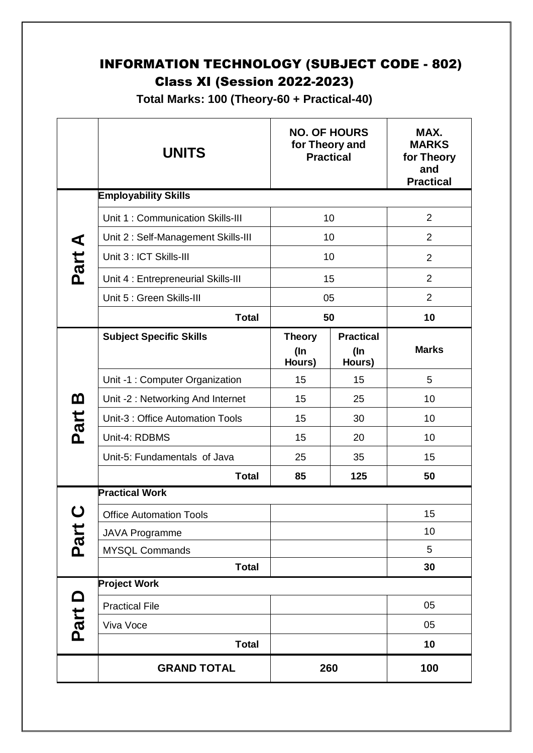### INFORMATION TECHNOLOGY (SUBJECT CODE - 802) Class XI (Session 2022-2023)

**Total Marks: 100 (Theory-60 + Practical-40)**

|          | <b>UNITS</b>                        |                                   | <b>NO. OF HOURS</b><br>for Theory and<br><b>Practical</b> | MAX.<br><b>MARKS</b><br>for Theory<br>and<br><b>Practical</b> |
|----------|-------------------------------------|-----------------------------------|-----------------------------------------------------------|---------------------------------------------------------------|
|          | <b>Employability Skills</b>         |                                   |                                                           |                                                               |
|          | Unit 1: Communication Skills-III    |                                   | 10                                                        | $\overline{2}$                                                |
|          | Unit 2: Self-Management Skills-III  |                                   | 10                                                        | $\overline{2}$                                                |
| Part A   | Unit 3 : ICT Skills-III             |                                   | 10                                                        | $\overline{2}$                                                |
|          | Unit 4 : Entrepreneurial Skills-III |                                   | 15                                                        | $\overline{2}$                                                |
|          | Unit 5 : Green Skills-III           |                                   | 05                                                        | $\overline{2}$                                                |
|          | <b>Total</b>                        |                                   | 50                                                        | 10                                                            |
|          | <b>Subject Specific Skills</b>      | <b>Theory</b><br>$($ In<br>Hours) | <b>Practical</b><br>(In<br>Hours)                         | <b>Marks</b>                                                  |
|          | Unit -1 : Computer Organization     | 15                                | 15                                                        | 5                                                             |
| <u>ന</u> | Unit -2: Networking And Internet    | 15                                | 25                                                        | 10                                                            |
| Part     | Unit-3 : Office Automation Tools    | 15                                | 30                                                        | 10                                                            |
|          | Unit-4: RDBMS                       | 15                                | 20                                                        | 10                                                            |
|          | Unit-5: Fundamentals of Java        | 25                                | 35                                                        | 15                                                            |
|          | <b>Total</b>                        | 85                                | 125                                                       | 50                                                            |
|          | <b>Practical Work</b>               |                                   |                                                           |                                                               |
|          | <b>Office Automation Tools</b>      |                                   |                                                           | 15                                                            |
| Part     | <b>JAVA Programme</b>               |                                   |                                                           | 10                                                            |
|          | <b>MYSQL Commands</b>               |                                   |                                                           | 5                                                             |
|          | <b>Total</b>                        |                                   |                                                           | 30                                                            |
|          | <b>Project Work</b>                 |                                   |                                                           |                                                               |
|          | <b>Practical File</b>               |                                   |                                                           | 05                                                            |
| Part D   | Viva Voce                           |                                   |                                                           | 05                                                            |
|          | <b>Total</b>                        |                                   |                                                           | 10                                                            |
|          | <b>GRAND TOTAL</b>                  |                                   | 260                                                       | 100                                                           |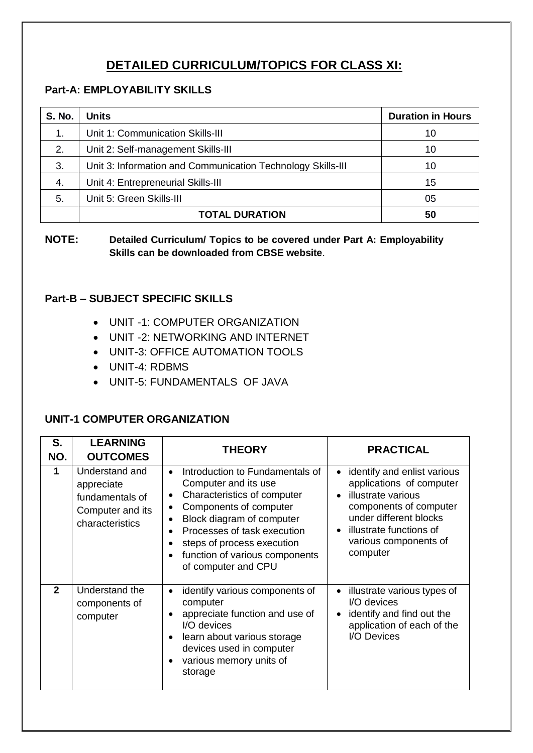### **DETAILED CURRICULUM/TOPICS FOR CLASS XI:**

#### **Part-A: EMPLOYABILITY SKILLS**

| <b>S. No.</b> | <b>Units</b>                                                | <b>Duration in Hours</b> |
|---------------|-------------------------------------------------------------|--------------------------|
| 1.            | Unit 1: Communication Skills-III                            | 10                       |
| 2.            | Unit 2: Self-management Skills-III                          | 10                       |
| 3.            | Unit 3: Information and Communication Technology Skills-III | 10                       |
| 4.            | Unit 4: Entrepreneurial Skills-III                          | 15                       |
| 5.            | Unit 5: Green Skills-III                                    | 05                       |
|               | <b>TOTAL DURATION</b>                                       | 50                       |

**NOTE: Detailed Curriculum/ Topics to be covered under Part A: Employability Skills can be downloaded from CBSE website**.

#### **Part-B – SUBJECT SPECIFIC SKILLS**

- UNIT -1: COMPUTER ORGANIZATION
- UNIT -2: NETWORKING AND INTERNET
- UNIT-3: OFFICE AUTOMATION TOOLS
- UNIT-4: RDBMS
- UNIT-5: FUNDAMENTALS OF JAVA

#### **UNIT-1 COMPUTER ORGANIZATION**

| S.           | <b>LEARNING</b>                                                                        | <b>THEORY</b>                                                                                                                                                                                                                                                                    | <b>PRACTICAL</b>                                                                                                                                                                                  |
|--------------|----------------------------------------------------------------------------------------|----------------------------------------------------------------------------------------------------------------------------------------------------------------------------------------------------------------------------------------------------------------------------------|---------------------------------------------------------------------------------------------------------------------------------------------------------------------------------------------------|
| NO.          | <b>OUTCOMES</b>                                                                        |                                                                                                                                                                                                                                                                                  |                                                                                                                                                                                                   |
|              | Understand and<br>appreciate<br>fundamentals of<br>Computer and its<br>characteristics | Introduction to Fundamentals of<br>$\bullet$<br>Computer and its use<br>Characteristics of computer<br>Components of computer<br>Block diagram of computer<br>Processes of task execution<br>steps of process execution<br>function of various components<br>of computer and CPU | identify and enlist various<br>applications of computer<br>illustrate various<br>components of computer<br>under different blocks<br>illustrate functions of<br>various components of<br>computer |
| $\mathbf{2}$ | Understand the<br>components of<br>computer                                            | identify various components of<br>$\bullet$<br>computer<br>appreciate function and use of<br>I/O devices<br>learn about various storage<br>devices used in computer<br>various memory units of<br>storage                                                                        | illustrate various types of<br>I/O devices<br>identify and find out the<br>application of each of the<br>I/O Devices                                                                              |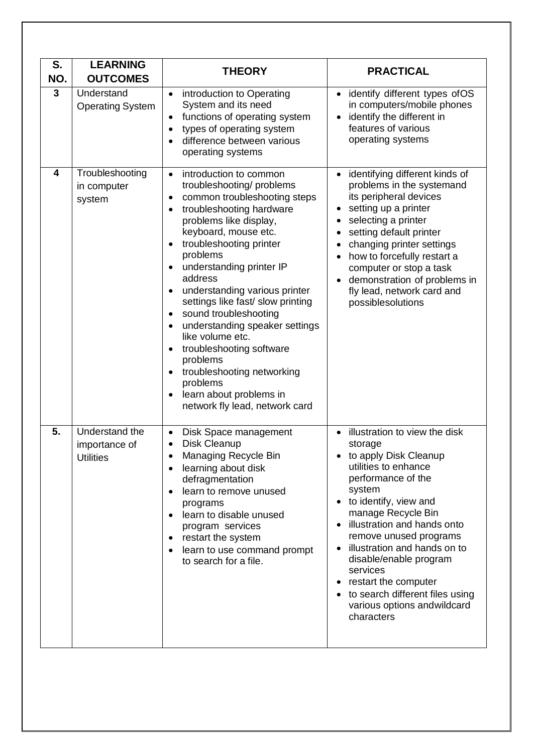| S.<br>NO.    | <b>LEARNING</b><br><b>OUTCOMES</b>                  | <b>THEORY</b>                                                                                                                                                                                                                                                                                                                                                                                                                                                                                                                                                                             | <b>PRACTICAL</b>                                                                                                                                                                                                                                                                                                                                                                                                                |
|--------------|-----------------------------------------------------|-------------------------------------------------------------------------------------------------------------------------------------------------------------------------------------------------------------------------------------------------------------------------------------------------------------------------------------------------------------------------------------------------------------------------------------------------------------------------------------------------------------------------------------------------------------------------------------------|---------------------------------------------------------------------------------------------------------------------------------------------------------------------------------------------------------------------------------------------------------------------------------------------------------------------------------------------------------------------------------------------------------------------------------|
| $\mathbf{3}$ | Understand<br><b>Operating System</b>               | introduction to Operating<br>$\bullet$<br>System and its need<br>functions of operating system<br>types of operating system<br>difference between various<br>operating systems                                                                                                                                                                                                                                                                                                                                                                                                            | • identify different types of OS<br>in computers/mobile phones<br>identify the different in<br>features of various<br>operating systems                                                                                                                                                                                                                                                                                         |
| 4            | Troubleshooting<br>in computer<br>system            | introduction to common<br>$\bullet$<br>troubleshooting/problems<br>common troubleshooting steps<br>$\bullet$<br>troubleshooting hardware<br>problems like display,<br>keyboard, mouse etc.<br>troubleshooting printer<br>problems<br>understanding printer IP<br>address<br>understanding various printer<br>settings like fast/ slow printing<br>sound troubleshooting<br>$\bullet$<br>understanding speaker settings<br>like volume etc.<br>troubleshooting software<br>problems<br>troubleshooting networking<br>problems<br>learn about problems in<br>network fly lead, network card | • identifying different kinds of<br>problems in the systemand<br>its peripheral devices<br>setting up a printer<br>selecting a printer<br>setting default printer<br>changing printer settings<br>how to forcefully restart a<br>computer or stop a task<br>demonstration of problems in<br>fly lead, network card and<br>possiblesolutions                                                                                     |
| 5.           | Understand the<br>importance of<br><b>Utilities</b> | Disk Space management<br>$\bullet$<br>Disk Cleanup<br>Managing Recycle Bin<br>learning about disk<br>$\bullet$<br>defragmentation<br>learn to remove unused<br>programs<br>learn to disable unused<br>program services<br>restart the system<br>$\bullet$<br>learn to use command prompt<br>to search for a file.                                                                                                                                                                                                                                                                         | illustration to view the disk<br>storage<br>to apply Disk Cleanup<br>utilities to enhance<br>performance of the<br>system<br>• to identify, view and<br>manage Recycle Bin<br>illustration and hands onto<br>remove unused programs<br>illustration and hands on to<br>$\bullet$<br>disable/enable program<br>services<br>restart the computer<br>to search different files using<br>various options and wildcard<br>characters |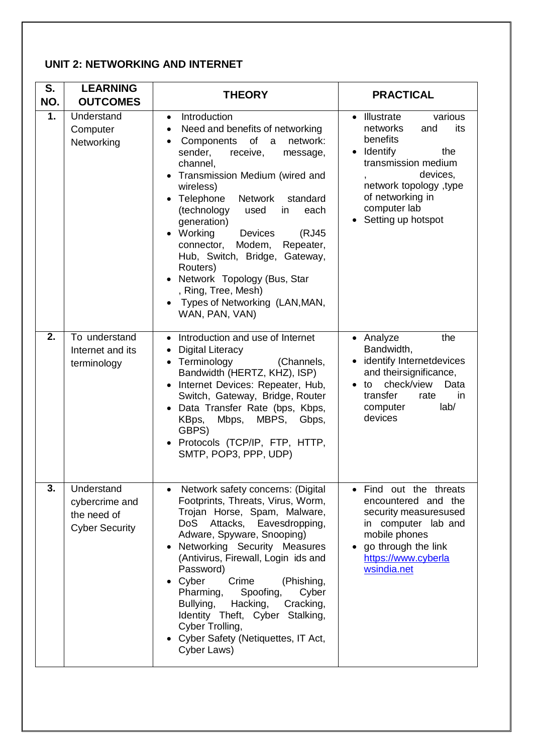#### **UNIT 2: NETWORKING AND INTERNET**

| S.<br>NO. | <b>LEARNING</b><br><b>OUTCOMES</b>                                   | <b>THEORY</b>                                                                                                                                                                                                                                                                                                                                                                                                                                                                                                                                                               | <b>PRACTICAL</b>                                                                                                                                                                                                            |
|-----------|----------------------------------------------------------------------|-----------------------------------------------------------------------------------------------------------------------------------------------------------------------------------------------------------------------------------------------------------------------------------------------------------------------------------------------------------------------------------------------------------------------------------------------------------------------------------------------------------------------------------------------------------------------------|-----------------------------------------------------------------------------------------------------------------------------------------------------------------------------------------------------------------------------|
| 1.        | Understand<br>Computer<br>Networking                                 | Introduction<br>$\bullet$<br>Need and benefits of networking<br>$\bullet$<br>Components of a<br>network:<br>$\bullet$<br>sender,<br>receive,<br>message,<br>channel,<br>Transmission Medium (wired and<br>$\bullet$<br>wireless)<br>• Telephone<br>Network<br>standard<br>(technology<br>in<br>used<br>each<br>generation)<br>Working<br><b>Devices</b><br>(RJ45<br>$\bullet$<br>Modem,<br>Repeater,<br>connector,<br>Hub, Switch, Bridge, Gateway,<br>Routers)<br>• Network Topology (Bus, Star<br>, Ring, Tree, Mesh)<br>Types of Networking (LAN, MAN,<br>WAN, PAN, VAN) | • Illustrate<br>various<br>networks<br>and<br>its<br>benefits<br>• Identify<br>the<br>transmission medium<br>devices,<br>$\mathbf{r}$<br>network topology, type<br>of networking in<br>computer lab<br>• Setting up hotspot |
| 2.        | To understand<br>Internet and its<br>terminology                     | • Introduction and use of Internet<br><b>Digital Literacy</b><br>$\bullet$<br>• Terminology<br>(Channels,<br>Bandwidth (HERTZ, KHZ), ISP)<br>Internet Devices: Repeater, Hub,<br>$\bullet$<br>Switch, Gateway, Bridge, Router<br>Data Transfer Rate (bps, Kbps,<br>KBps,<br>Mbps,<br>MBPS,<br>Gbps,<br>GBPS)<br>Protocols (TCP/IP, FTP, HTTP,<br>$\bullet$<br>SMTP, POP3, PPP, UDP)                                                                                                                                                                                         | • Analyze<br>the<br>Bandwidth,<br>• identify Internetdevices<br>and theirsignificance,<br>check/view<br>Data<br>to<br>transfer<br>rate<br>in<br>lab/<br>computer<br>devices                                                 |
| 3.        | Understand<br>cybercrime and<br>the need of<br><b>Cyber Security</b> | Network safety concerns: (Digital<br>Footprints, Threats, Virus, Worm,<br>Trojan Horse, Spam, Malware,<br><b>DoS</b><br>Attacks,<br>Eavesdropping,<br>Adware, Spyware, Snooping)<br>• Networking Security Measures<br>(Antivirus, Firewall, Login ids and<br>Password)<br>Cyber<br>Crime<br>(Phishing,<br>$\bullet$<br>Pharming,<br>Spoofing,<br>Cyber<br>Bullying,<br>Hacking,<br>Cracking,<br>Identity Theft, Cyber<br>Stalking,<br>Cyber Trolling,<br>• Cyber Safety (Netiquettes, IT Act,<br>Cyber Laws)                                                                | Find out the threats<br>encountered and the<br>security measuresused<br>in computer lab and<br>mobile phones<br>go through the link<br>https://www.cyberla<br>wsindia.net                                                   |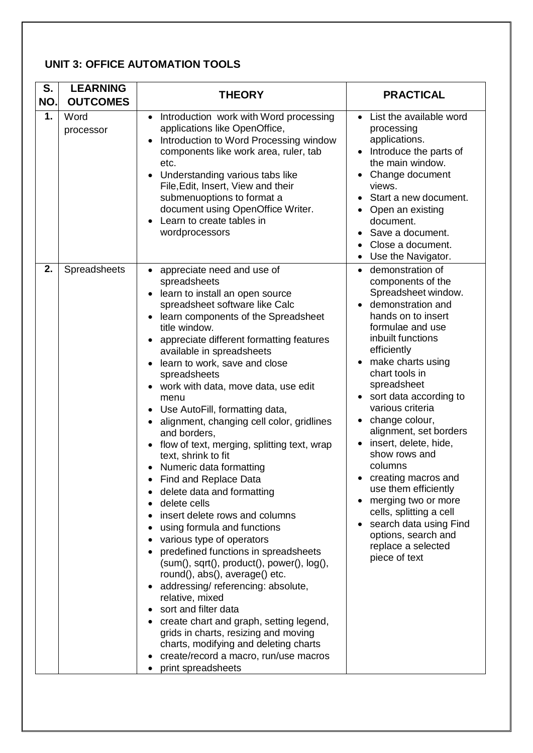### **UNIT 3: OFFICE AUTOMATION TOOLS**

| S.<br>NO. | <b>LEARNING</b><br><b>OUTCOMES</b> | <b>THEORY</b>                                                                                                                                                                                                                                                                                                                                                                                                                                                                                                                                                                                                                                                                                                                                                                                                                                                                                                                                                                                                                                                                                                                | <b>PRACTICAL</b>                                                                                                                                                                                                                                                                                                                                                                                                                                                                                                                                                                             |
|-----------|------------------------------------|------------------------------------------------------------------------------------------------------------------------------------------------------------------------------------------------------------------------------------------------------------------------------------------------------------------------------------------------------------------------------------------------------------------------------------------------------------------------------------------------------------------------------------------------------------------------------------------------------------------------------------------------------------------------------------------------------------------------------------------------------------------------------------------------------------------------------------------------------------------------------------------------------------------------------------------------------------------------------------------------------------------------------------------------------------------------------------------------------------------------------|----------------------------------------------------------------------------------------------------------------------------------------------------------------------------------------------------------------------------------------------------------------------------------------------------------------------------------------------------------------------------------------------------------------------------------------------------------------------------------------------------------------------------------------------------------------------------------------------|
| 1.        | Word<br>processor                  | Introduction work with Word processing<br>$\bullet$<br>applications like OpenOffice,<br>Introduction to Word Processing window<br>components like work area, ruler, tab<br>etc.<br>Understanding various tabs like<br>File, Edit, Insert, View and their<br>submenuoptions to format a<br>document using OpenOffice Writer.<br>Learn to create tables in<br>wordprocessors                                                                                                                                                                                                                                                                                                                                                                                                                                                                                                                                                                                                                                                                                                                                                   | List the available word<br>$\bullet$<br>processing<br>applications.<br>Introduce the parts of<br>$\bullet$<br>the main window.<br>Change document<br>views.<br>Start a new document.<br>Open an existing<br>document.<br>Save a document.<br>Close a document.<br>Use the Navigator.<br>$\bullet$                                                                                                                                                                                                                                                                                            |
| 2.        | Spreadsheets                       | • appreciate need and use of<br>spreadsheets<br>learn to install an open source<br>spreadsheet software like Calc<br>learn components of the Spreadsheet<br>title window.<br>appreciate different formatting features<br>available in spreadsheets<br>learn to work, save and close<br>spreadsheets<br>work with data, move data, use edit<br>menu<br>Use AutoFill, formatting data,<br>alignment, changing cell color, gridlines<br>and borders,<br>flow of text, merging, splitting text, wrap<br>text, shrink to fit<br>Numeric data formatting<br>Find and Replace Data<br>delete data and formatting<br>delete cells<br>insert delete rows and columns<br>using formula and functions<br>various type of operators<br>predefined functions in spreadsheets<br>$(sum(), sqrt(), product(), power(), log(),$<br>round(), abs(), average() etc.<br>addressing/referencing: absolute,<br>relative, mixed<br>sort and filter data<br>create chart and graph, setting legend,<br>grids in charts, resizing and moving<br>charts, modifying and deleting charts<br>create/record a macro, run/use macros<br>print spreadsheets | demonstration of<br>$\bullet$<br>components of the<br>Spreadsheet window.<br>demonstration and<br>hands on to insert<br>formulae and use<br>inbuilt functions<br>efficiently<br>make charts using<br>chart tools in<br>spreadsheet<br>sort data according to<br>$\bullet$<br>various criteria<br>change colour,<br>٠<br>alignment, set borders<br>insert, delete, hide,<br>show rows and<br>columns<br>creating macros and<br>use them efficiently<br>merging two or more<br>cells, splitting a cell<br>search data using Find<br>options, search and<br>replace a selected<br>piece of text |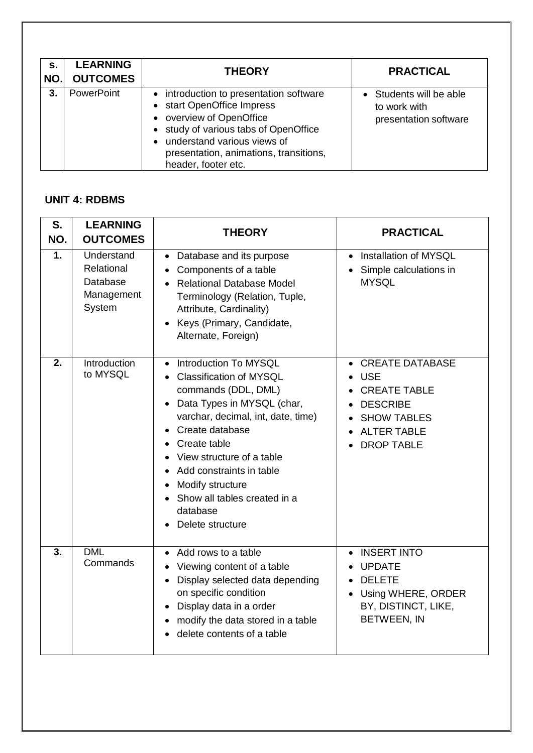| s.<br>NO. | <b>LEARNING</b><br><b>OUTCOMES</b> | <b>THEORY</b>                                                                                                                                                                                                                                           | <b>PRACTICAL</b>                                                 |
|-----------|------------------------------------|---------------------------------------------------------------------------------------------------------------------------------------------------------------------------------------------------------------------------------------------------------|------------------------------------------------------------------|
| 3.        | PowerPoint                         | • introduction to presentation software<br>• start OpenOffice Impress<br>• overview of OpenOffice<br>• study of various tabs of OpenOffice<br>understand various views of<br>$\bullet$<br>presentation, animations, transitions,<br>header, footer etc. | • Students will be able<br>to work with<br>presentation software |

#### **UNIT 4: RDBMS**

| S.<br>NO.        | <b>LEARNING</b><br><b>OUTCOMES</b>                           | <b>THEORY</b>                                                                                                                                                                                                                                                                                                               | <b>PRACTICAL</b>                                                                                                                                |
|------------------|--------------------------------------------------------------|-----------------------------------------------------------------------------------------------------------------------------------------------------------------------------------------------------------------------------------------------------------------------------------------------------------------------------|-------------------------------------------------------------------------------------------------------------------------------------------------|
| 1.               | Understand<br>Relational<br>Database<br>Management<br>System | • Database and its purpose<br>Components of a table<br><b>Relational Database Model</b><br>Terminology (Relation, Tuple,<br>Attribute, Cardinality)<br>Keys (Primary, Candidate,<br>Alternate, Foreign)                                                                                                                     | Installation of MYSQL<br>$\bullet$<br>Simple calculations in<br><b>MYSQL</b>                                                                    |
| $\overline{2}$ . | Introduction<br>to MYSQL                                     | Introduction To MYSQL<br>Classification of MYSQL<br>commands (DDL, DML)<br>Data Types in MYSQL (char,<br>varchar, decimal, int, date, time)<br>Create database<br>Create table<br>View structure of a table<br>Add constraints in table<br>Modify structure<br>Show all tables created in a<br>database<br>Delete structure | <b>CREATE DATABASE</b><br><b>USE</b><br><b>CREATE TABLE</b><br><b>DESCRIBE</b><br><b>SHOW TABLES</b><br><b>ALTER TABLE</b><br><b>DROP TABLE</b> |
| 3.               | <b>DML</b><br>Commands                                       | Add rows to a table<br>• Viewing content of a table<br>Display selected data depending<br>on specific condition<br>Display data in a order<br>modify the data stored in a table<br>delete contents of a table                                                                                                               | <b>INSERT INTO</b><br>$\bullet$<br><b>UPDATE</b><br><b>DELETE</b><br>Using WHERE, ORDER<br>BY, DISTINCT, LIKE,<br>BETWEEN, IN                   |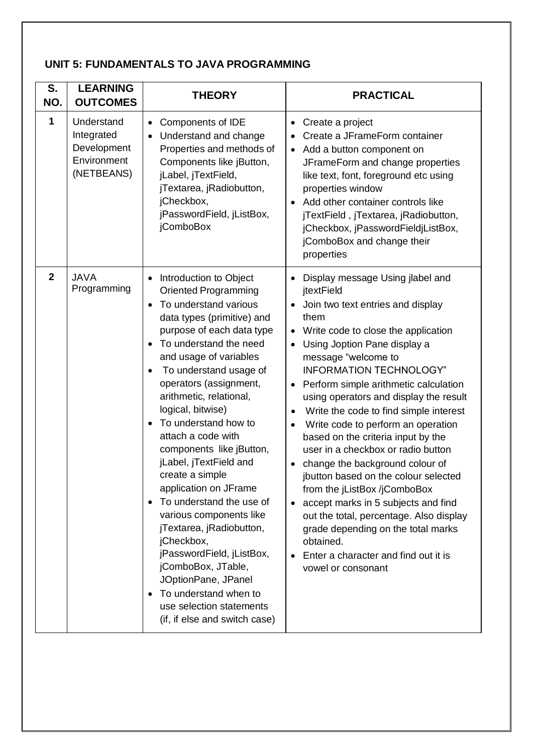#### **UNIT 5: FUNDAMENTALS TO JAVA PROGRAMMING**

| S.<br>NO.      | <b>LEARNING</b><br><b>OUTCOMES</b>                                   | <b>THEORY</b>                                                                                                                                                                                                                                                                                                                                                                                                                                                                                                                                                                                                                                                                                                                                                                                    | <b>PRACTICAL</b>                                                                                                                                                                                                                                                                                                                                                                                                                                                                                                                                                                                                                                                                                                                                                                                      |
|----------------|----------------------------------------------------------------------|--------------------------------------------------------------------------------------------------------------------------------------------------------------------------------------------------------------------------------------------------------------------------------------------------------------------------------------------------------------------------------------------------------------------------------------------------------------------------------------------------------------------------------------------------------------------------------------------------------------------------------------------------------------------------------------------------------------------------------------------------------------------------------------------------|-------------------------------------------------------------------------------------------------------------------------------------------------------------------------------------------------------------------------------------------------------------------------------------------------------------------------------------------------------------------------------------------------------------------------------------------------------------------------------------------------------------------------------------------------------------------------------------------------------------------------------------------------------------------------------------------------------------------------------------------------------------------------------------------------------|
| 1              | Understand<br>Integrated<br>Development<br>Environment<br>(NETBEANS) | Components of IDE<br>$\bullet$<br>Understand and change<br>$\bullet$<br>Properties and methods of<br>Components like jButton,<br>jLabel, jTextField,<br>jTextarea, jRadiobutton,<br>jCheckbox,<br>jPasswordField, jListBox,<br>jComboBox                                                                                                                                                                                                                                                                                                                                                                                                                                                                                                                                                         | Create a project<br>٠<br>Create a JFrameForm container<br>Add a button component on<br>JFrameForm and change properties<br>like text, font, foreground etc using<br>properties window<br>Add other container controls like<br>jTextField, jTextarea, jRadiobutton,<br>jCheckbox, jPasswordFieldjListBox,<br>jComboBox and change their<br>properties                                                                                                                                                                                                                                                                                                                                                                                                                                                  |
| $\overline{2}$ | <b>JAVA</b><br>Programming                                           | Introduction to Object<br>$\bullet$<br><b>Oriented Programming</b><br>To understand various<br>$\bullet$<br>data types (primitive) and<br>purpose of each data type<br>To understand the need<br>$\bullet$<br>and usage of variables<br>To understand usage of<br>$\bullet$<br>operators (assignment,<br>arithmetic, relational,<br>logical, bitwise)<br>To understand how to<br>$\bullet$<br>attach a code with<br>components like jButton,<br>jLabel, jTextField and<br>create a simple<br>application on JFrame<br>To understand the use of<br>$\bullet$<br>various components like<br>jTextarea, jRadiobutton,<br>jCheckbox,<br>jPasswordField, jListBox,<br>jComboBox, JTable,<br>JOptionPane, JPanel<br>To understand when to<br>use selection statements<br>(if, if else and switch case) | Display message Using jlabel and<br>jtextField<br>Join two text entries and display<br>them<br>Write code to close the application<br>Using Joption Pane display a<br>message "welcome to<br><b>INFORMATION TECHNOLOGY"</b><br>Perform simple arithmetic calculation<br>using operators and display the result<br>Write the code to find simple interest<br>Write code to perform an operation<br>$\bullet$<br>based on the criteria input by the<br>user in a checkbox or radio button<br>change the background colour of<br>jbutton based on the colour selected<br>from the jListBox /jComboBox<br>accept marks in 5 subjects and find<br>out the total, percentage. Also display<br>grade depending on the total marks<br>obtained.<br>Enter a character and find out it is<br>vowel or consonant |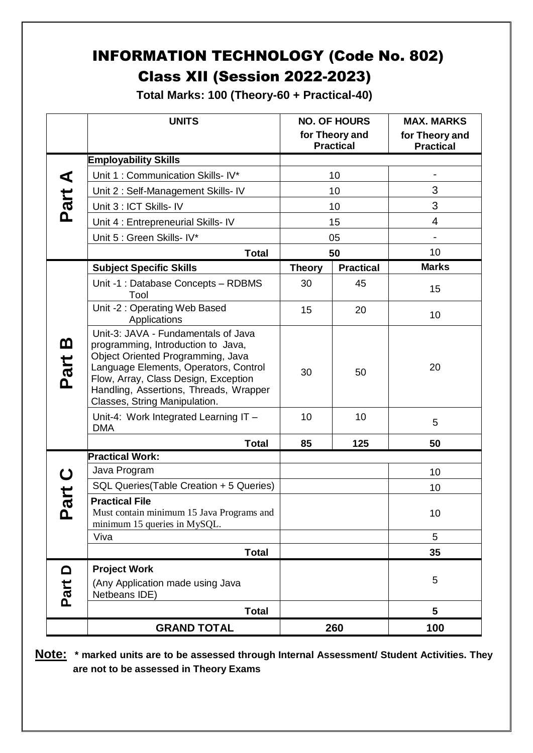## INFORMATION TECHNOLOGY (Code No. 802) Class XII (Session 2022-2023)

**Total Marks: 100 (Theory-60 + Practical-40)**

|                  | <b>UNITS</b>                                                                                                                                                                                                                                                               |               | <b>NO. OF HOURS</b><br>for Theory and<br><b>Practical</b> | <b>MAX. MARKS</b><br>for Theory and<br><b>Practical</b> |
|------------------|----------------------------------------------------------------------------------------------------------------------------------------------------------------------------------------------------------------------------------------------------------------------------|---------------|-----------------------------------------------------------|---------------------------------------------------------|
|                  | <b>Employability Skills</b>                                                                                                                                                                                                                                                |               |                                                           |                                                         |
|                  | Unit 1: Communication Skills- IV*                                                                                                                                                                                                                                          |               | 10                                                        |                                                         |
|                  | Unit 2: Self-Management Skills- IV                                                                                                                                                                                                                                         | 10            |                                                           | 3                                                       |
| Part A           | Unit 3 : ICT Skills- IV                                                                                                                                                                                                                                                    | 10            |                                                           | 3                                                       |
|                  | Unit 4 : Entrepreneurial Skills- IV                                                                                                                                                                                                                                        |               | 15                                                        | $\overline{4}$                                          |
|                  | Unit 5 : Green Skills- IV*                                                                                                                                                                                                                                                 |               | 05                                                        | $\overline{a}$                                          |
|                  | <b>Total</b>                                                                                                                                                                                                                                                               |               | 50                                                        | 10                                                      |
|                  | <b>Subject Specific Skills</b>                                                                                                                                                                                                                                             | <b>Theory</b> | <b>Practical</b>                                          | <b>Marks</b>                                            |
|                  | Unit -1 : Database Concepts - RDBMS<br>Tool                                                                                                                                                                                                                                | 30            | 45                                                        | 15                                                      |
|                  | Unit -2: Operating Web Based<br>Applications                                                                                                                                                                                                                               | 15            | 20                                                        | 10                                                      |
| <u>ന</u><br>Part | Unit-3: JAVA - Fundamentals of Java<br>programming, Introduction to Java,<br>Object Oriented Programming, Java<br>Language Elements, Operators, Control<br>Flow, Array, Class Design, Exception<br>Handling, Assertions, Threads, Wrapper<br>Classes, String Manipulation. | 30            | 50                                                        | 20                                                      |
|                  | Unit-4: Work Integrated Learning IT -<br><b>DMA</b>                                                                                                                                                                                                                        | 10            | 10                                                        | 5                                                       |
|                  | <b>Total</b>                                                                                                                                                                                                                                                               | 85            | 125                                                       | 50                                                      |
|                  | <b>Practical Work:</b>                                                                                                                                                                                                                                                     |               |                                                           |                                                         |
|                  | Java Program                                                                                                                                                                                                                                                               |               |                                                           | 10                                                      |
| art              | SQL Queries(Table Creation + 5 Queries)                                                                                                                                                                                                                                    |               |                                                           | 10                                                      |
| ௨                | <b>Practical File</b><br>Must contain minimum 15 Java Programs and<br>minimum 15 queries in MySQL.                                                                                                                                                                         |               |                                                           | 10                                                      |
|                  | Viva                                                                                                                                                                                                                                                                       |               |                                                           | 5                                                       |
|                  | <b>Total</b>                                                                                                                                                                                                                                                               |               |                                                           | 35                                                      |
|                  | <b>Project Work</b>                                                                                                                                                                                                                                                        |               |                                                           |                                                         |
| Part D           | (Any Application made using Java<br>Netbeans IDE)                                                                                                                                                                                                                          |               |                                                           | 5                                                       |
|                  | <b>Total</b>                                                                                                                                                                                                                                                               |               |                                                           | 5                                                       |
|                  | <b>GRAND TOTAL</b>                                                                                                                                                                                                                                                         |               | 260                                                       | 100                                                     |

**Note: \* marked units are to be assessed through Internal Assessment/ Student Activities. They are not to be assessed in Theory Exams**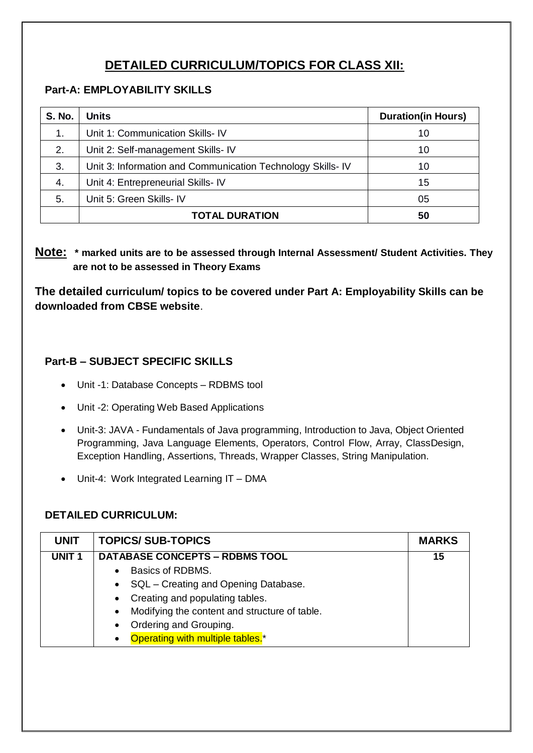### **DETAILED CURRICULUM/TOPICS FOR CLASS XII:**

#### **Part-A: EMPLOYABILITY SKILLS**

| <b>S. No.</b> | <b>Units</b>                                                | <b>Duration(in Hours)</b> |
|---------------|-------------------------------------------------------------|---------------------------|
| 1.            | Unit 1: Communication Skills- IV                            | 10                        |
| 2.            | Unit 2: Self-management Skills- IV                          | 10                        |
| 3.            | Unit 3: Information and Communication Technology Skills- IV | 10                        |
| 4.            | Unit 4: Entrepreneurial Skills- IV                          | 15                        |
| 5.            | Unit 5: Green Skills- IV                                    | 05                        |
|               | <b>TOTAL DURATION</b>                                       | 50                        |

**Note: \* marked units are to be assessed through Internal Assessment/ Student Activities. They are not to be assessed in Theory Exams** 

**The detailed curriculum/ topics to be covered under Part A: Employability Skills can be downloaded from CBSE website**.

#### **Part-B – SUBJECT SPECIFIC SKILLS**

- Unit -1: Database Concepts RDBMS tool
- Unit -2: Operating Web Based Applications
- Unit-3: JAVA Fundamentals of Java programming, Introduction to Java, Object Oriented Programming, Java Language Elements, Operators, Control Flow, Array, ClassDesign, Exception Handling, Assertions, Threads, Wrapper Classes, String Manipulation.
- Unit-4: Work Integrated Learning IT DMA

#### **DETAILED CURRICULUM:**

| <b>UNIT</b>       | <b>TOPICS/SUB-TOPICS</b>                                   | <b>MARKS</b> |
|-------------------|------------------------------------------------------------|--------------|
| UNIT <sub>1</sub> | <b>DATABASE CONCEPTS - RDBMS TOOL</b>                      | 15           |
|                   | Basics of RDBMS.                                           |              |
|                   | • SQL – Creating and Opening Database.                     |              |
|                   | Creating and populating tables.<br>$\bullet$               |              |
|                   | Modifying the content and structure of table.<br>$\bullet$ |              |
|                   | Ordering and Grouping.<br>$\bullet$                        |              |
|                   | Operating with multiple tables. <sup>*</sup>               |              |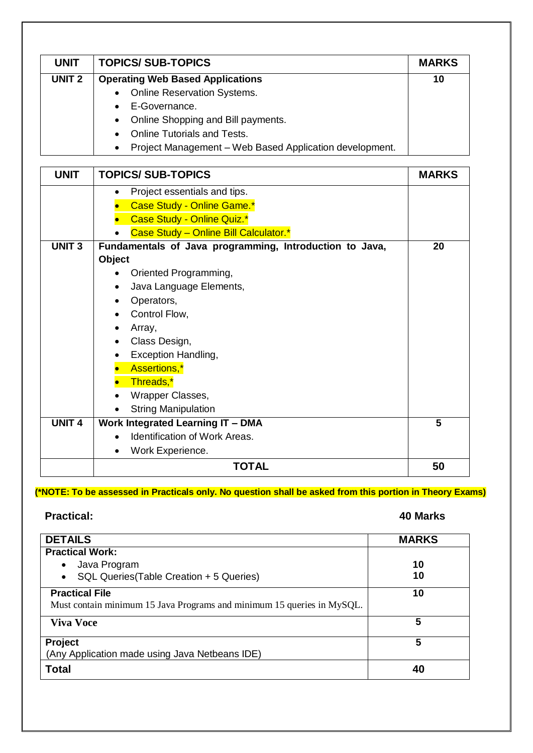| <b>UNIT</b>   | <b>TOPICS/SUB-TOPICS</b>                                             | <b>MARKS</b> |
|---------------|----------------------------------------------------------------------|--------------|
| <b>UNIT 2</b> | <b>Operating Web Based Applications</b>                              | 10           |
|               | • Online Reservation Systems.                                        |              |
|               | E-Governance.<br>$\bullet$                                           |              |
|               | • Online Shopping and Bill payments.                                 |              |
|               | <b>Online Tutorials and Tests.</b><br>$\bullet$                      |              |
|               | Project Management - Web Based Application development.<br>$\bullet$ |              |

| <b>UNIT</b>   | <b>TOPICS/SUB-TOPICS</b>                                | <b>MARKS</b> |
|---------------|---------------------------------------------------------|--------------|
|               | Project essentials and tips.<br>٠                       |              |
|               | Case Study - Online Game.*                              |              |
|               | Case Study - Online Quiz.*                              |              |
|               | Case Study - Online Bill Calculator.*                   |              |
| <b>UNIT 3</b> | Fundamentals of Java programming, Introduction to Java, | 20           |
|               | Object                                                  |              |
|               | Oriented Programming,                                   |              |
|               | Java Language Elements,<br>٠                            |              |
|               | Operators,<br>$\bullet$                                 |              |
|               | Control Flow,                                           |              |
|               | Array,                                                  |              |
|               | Class Design,                                           |              |
|               | Exception Handling,                                     |              |
|               | Assertions,*                                            |              |
|               | Threads,*                                               |              |
|               | Wrapper Classes,                                        |              |
|               | <b>String Manipulation</b>                              |              |
| <b>UNIT 4</b> | <b>Work Integrated Learning IT - DMA</b>                | 5            |
|               | Identification of Work Areas.                           |              |
|               | Work Experience.                                        |              |
|               | <b>TOTAL</b>                                            | 50           |

### **(\*NOTE: To be assessed in Practicals only. No question shall be asked from this portion in Theory Exams)**

#### **Practical: 40 Marks**

| <b>DETAILS</b>                                                         | <b>MARKS</b> |
|------------------------------------------------------------------------|--------------|
| <b>Practical Work:</b>                                                 |              |
| Java Program<br>$\bullet$                                              | 10           |
| SQL Queries (Table Creation + 5 Queries)<br>$\bullet$                  | 10           |
| <b>Practical File</b>                                                  | 10           |
| Must contain minimum 15 Java Programs and minimum 15 queries in MySQL. |              |
| <b>Viva Voce</b>                                                       | 5            |
| Project                                                                | 5            |
| (Any Application made using Java Netbeans IDE)                         |              |
| <b>Total</b>                                                           | 40           |